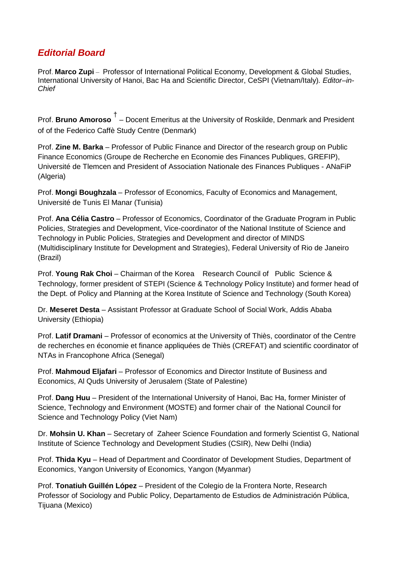## *Editorial Board*

Prof. **Marco Zupi** – Professor of International Political Economy, Development & Global Studies, International University of Hanoi, Bac Ha and Scientific Director, CeSPI (Vietnam/Italy)*. Editor–in-Chief*

Prof. **Bruno Amoroso** † – Docent Emeritus at the University of Roskilde, Denmark and President of of the Federico Caffè Study Centre (Denmark)

Prof. **Zine M. Barka** – Professor of Public Finance and Director of the research group on Public Finance Economics (Groupe de Recherche en Economie des Finances Publiques, GREFIP), Université de Tlemcen and President of Association Nationale des Finances Publiques - ANaFiP (Algeria)

Prof. **Mongi Boughzala** – Professor of Economics, Faculty of Economics and Management, Université de Tunis El Manar (Tunisia)

Prof. **Ana Célia Castro** – Professor of Economics, Coordinator of the Graduate Program in Public Policies, Strategies and Development, Vice-coordinator of the National Institute of Science and Technology in Public Policies, Strategies and Development and director of MINDS (Multidisciplinary Institute for Development and Strategies), Federal University of Rio de Janeiro (Brazil)

Prof. **Young Rak Choi** – Chairman of the Korea Research Council of Public Science & Technology, former president of STEPI (Science & Technology Policy Institute) and former head of the Dept. of Policy and Planning at the Korea Institute of Science and Technology (South Korea)

Dr. **Meseret Desta** – Assistant Professor at Graduate School of Social Work, Addis Ababa University (Ethiopia)

Prof. **Latif Dramani** – Professor of economics at the University of Thiès, coordinator of the Centre de recherches en économie et finance appliquées de Thiès (CREFAT) and scientific coordinator of NTAs in Francophone Africa (Senegal)

Prof. **Mahmoud Eljafari** – Professor of Economics and Director Institute of Business and Economics, Al Quds University of Jerusalem (State of Palestine)

Prof. **Dang Huu** – President of the International University of Hanoi, Bac Ha, former Minister of Science, Technology and Environment (MOSTE) and former chair of the National Council for Science and Technology Policy (Viet Nam)

Dr. **Mohsin U. Khan** – Secretary of Zaheer Science Foundation and formerly Scientist G, National Institute of Science Technology and Development Studies (CSIR), New Delhi (India)

Prof. **Thida Kyu** – Head of Department and Coordinator of Development Studies, Department of Economics, Yangon University of Economics, Yangon (Myanmar)

Prof. **Tonatiuh Guillén López** – President of the Colegio de la Frontera Norte, Research Professor of Sociology and Public Policy, Departamento de Estudios de Administración Pública, Tijuana (Mexico)